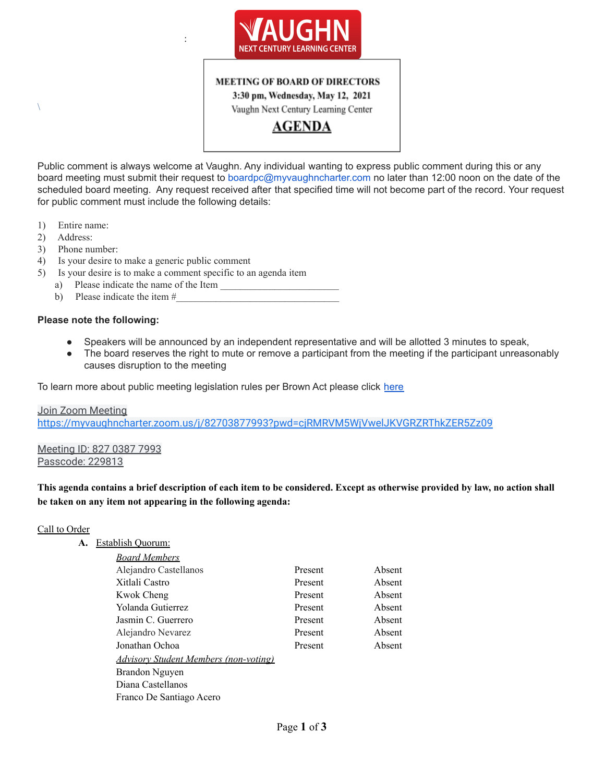

## **MEETING OF BOARD OF DIRECTORS**

3:30 pm, Wednesday, May 12, 2021 Vaughn Next Century Learning Center

**AGENDA** 

Public comment is always welcome at Vaughn. Any individual wanting to express public comment during this or any board meeting must submit their request to boardpc@myvaughncharter.com no later than 12:00 noon on the date of the scheduled board meeting. Any request received after that specified time will not become part of the record. Your request for public comment must include the following details:

- 1) Entire name:
- 2) Address:

 $\setminus$ 

- 3) Phone number:
- 4) Is your desire to make a generic public comment
- 5) Is your desire is to make a comment specific to an agenda item

:

- a) Please indicate the name of the Item
- b) Please indicate the item  $#$

#### **Please note the following:**

- Speakers will be announced by an independent representative and will be allotted 3 minutes to speak,
- The board reserves the right to mute or remove a participant from the meeting if the participant unreasonably causes disruption to the meeting

To learn more about public meeting legislation rules per Brown Act please click [here](https://leginfo.legislature.ca.gov/faces/billTextClient.xhtml?bill_id=201520160AB1787)

Join Zoom Meeting <https://myvaughncharter.zoom.us/j/82703877993?pwd=cjRMRVM5WjVwelJKVGRZRThkZER5Zz09>

Meeting ID: 827 0387 7993 Passcode: 229813

This agenda contains a brief description of each item to be considered. Except as otherwise provided by law, no action shall **be taken on any item not appearing in the following agenda:**

#### Call to Order

#### **A.** Establish Quorum:

| <b>Board Members</b>                         |         |        |
|----------------------------------------------|---------|--------|
| Alejandro Castellanos                        | Present | Absent |
| Xitlali Castro                               | Present | Absent |
| Kwok Cheng                                   | Present | Absent |
| Yolanda Gutierrez                            | Present | Absent |
| Jasmin C. Guerrero                           | Present | Absent |
| Alejandro Nevarez                            | Present | Absent |
| Jonathan Ochoa                               | Present | Absent |
| <b>Advisory Student Members (non-voting)</b> |         |        |
| Brandon Nguyen                               |         |        |
| Diana Castellanos                            |         |        |
| Franco De Santiago Acero                     |         |        |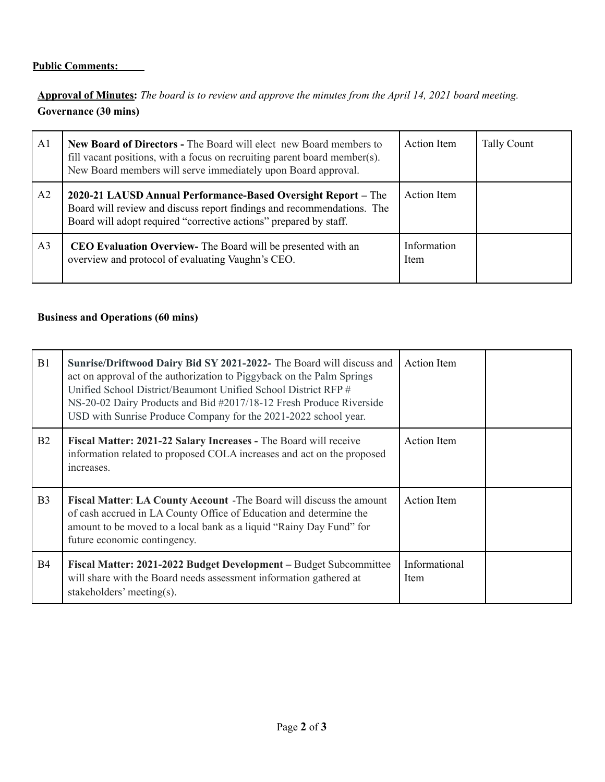# **Public Comments:**

Approval of Minutes: The board is to review and approve the minutes from the April 14, 2021 board meeting. **Governance (30 mins)**

| A <sub>1</sub> | New Board of Directors - The Board will elect new Board members to<br>fill vacant positions, with a focus on recruiting parent board member(s).<br>New Board members will serve immediately upon Board approval. | <b>Action</b> Item  | <b>Tally Count</b> |
|----------------|------------------------------------------------------------------------------------------------------------------------------------------------------------------------------------------------------------------|---------------------|--------------------|
| A2             | 2020-21 LAUSD Annual Performance-Based Oversight Report – The<br>Board will review and discuss report findings and recommendations. The<br>Board will adopt required "corrective actions" prepared by staff.     | <b>Action</b> Item  |                    |
| A <sub>3</sub> | <b>CEO Evaluation Overview-</b> The Board will be presented with an<br>overview and protocol of evaluating Vaughn's CEO.                                                                                         | Information<br>Item |                    |

# **Business and Operations (60 mins)**

| B1             | Sunrise/Driftwood Dairy Bid SY 2021-2022- The Board will discuss and<br>act on approval of the authorization to Piggyback on the Palm Springs<br>Unified School District/Beaumont Unified School District RFP #<br>NS-20-02 Dairy Products and Bid #2017/18-12 Fresh Produce Riverside<br>USD with Sunrise Produce Company for the 2021-2022 school year. | <b>Action</b> Item    |
|----------------|-----------------------------------------------------------------------------------------------------------------------------------------------------------------------------------------------------------------------------------------------------------------------------------------------------------------------------------------------------------|-----------------------|
| B <sub>2</sub> | Fiscal Matter: 2021-22 Salary Increases - The Board will receive<br>information related to proposed COLA increases and act on the proposed<br>increases.                                                                                                                                                                                                  | <b>Action</b> Item    |
| B <sub>3</sub> | Fiscal Matter: LA County Account - The Board will discuss the amount<br>of cash accrued in LA County Office of Education and determine the<br>amount to be moved to a local bank as a liquid "Rainy Day Fund" for<br>future economic contingency.                                                                                                         | <b>Action</b> Item    |
| <b>B4</b>      | Fiscal Matter: 2021-2022 Budget Development – Budget Subcommittee<br>will share with the Board needs assessment information gathered at<br>stakeholders' meeting(s).                                                                                                                                                                                      | Informational<br>Item |